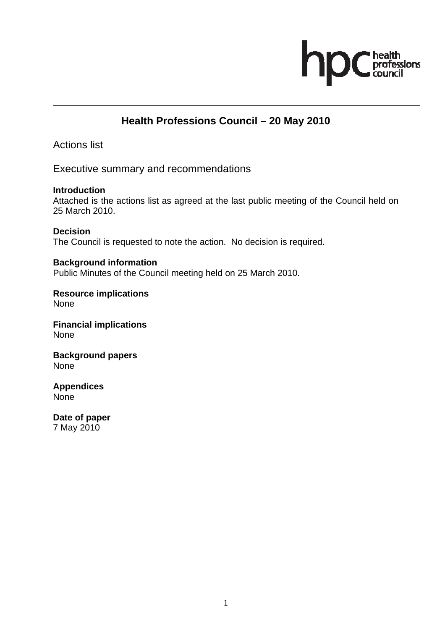

## **Health Professions Council – 20 May 2010**

Actions list

Executive summary and recommendations

**Introduction**  Attached is the actions list as agreed at the last public meeting of the Council held on 25 March 2010.

**Decision**  The Council is requested to note the action. No decision is required.

**Background information**  Public Minutes of the Council meeting held on 25 March 2010.

**Resource implications**  None

**Financial implications**  None

**Background papers**  None

**Appendices**  None

**Date of paper**  7 May 2010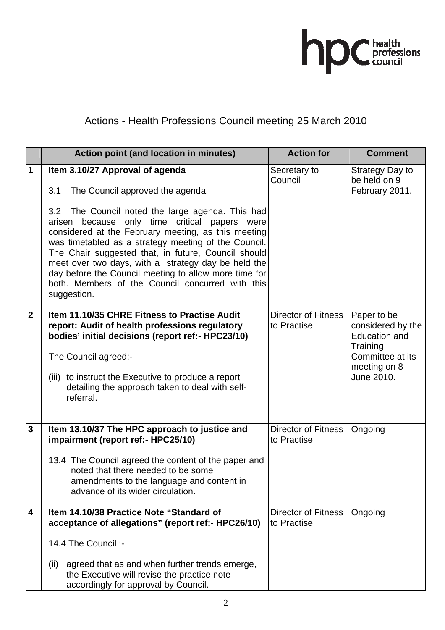

## Actions - Health Professions Council meeting 25 March 2010

|                         | Action point (and location in minutes)                                                                                                                                                                                                                                                                                                                                                                                                                                                                                                      | <b>Action for</b>                         | <b>Comment</b>                                                                                                         |
|-------------------------|---------------------------------------------------------------------------------------------------------------------------------------------------------------------------------------------------------------------------------------------------------------------------------------------------------------------------------------------------------------------------------------------------------------------------------------------------------------------------------------------------------------------------------------------|-------------------------------------------|------------------------------------------------------------------------------------------------------------------------|
| $\mathbf 1$             | Item 3.10/27 Approval of agenda<br>The Council approved the agenda.<br>3.1<br>3.2 The Council noted the large agenda. This had<br>because only time critical papers were<br>arisen<br>considered at the February meeting, as this meeting<br>was timetabled as a strategy meeting of the Council.<br>The Chair suggested that, in future, Council should<br>meet over two days, with a strategy day be held the<br>day before the Council meeting to allow more time for<br>both. Members of the Council concurred with this<br>suggestion. | Secretary to<br>Council                   | Strategy Day to<br>be held on 9<br>February 2011.                                                                      |
| $\overline{2}$          | Item 11.10/35 CHRE Fitness to Practise Audit<br>report: Audit of health professions regulatory<br>bodies' initial decisions (report ref:- HPC23/10)<br>The Council agreed:-<br>(iii) to instruct the Executive to produce a report<br>detailing the approach taken to deal with self-<br>referral.                                                                                                                                                                                                                                          | <b>Director of Fitness</b><br>to Practise | Paper to be<br>considered by the<br><b>Education and</b><br>Training<br>Committee at its<br>meeting on 8<br>June 2010. |
| $\mathbf{3}$            | Item 13.10/37 The HPC approach to justice and<br>impairment (report ref:- HPC25/10)<br>13.4 The Council agreed the content of the paper and<br>noted that there needed to be some<br>amendments to the language and content in<br>advance of its wider circulation.                                                                                                                                                                                                                                                                         | <b>Director of Fitness</b><br>to Practise | Ongoing                                                                                                                |
| $\overline{\mathbf{4}}$ | Item 14.10/38 Practice Note "Standard of<br>acceptance of allegations" (report ref:- HPC26/10)<br>14.4 The Council :-<br>agreed that as and when further trends emerge,<br>(ii)<br>the Executive will revise the practice note<br>accordingly for approval by Council.                                                                                                                                                                                                                                                                      | <b>Director of Fitness</b><br>to Practise | Ongoing                                                                                                                |